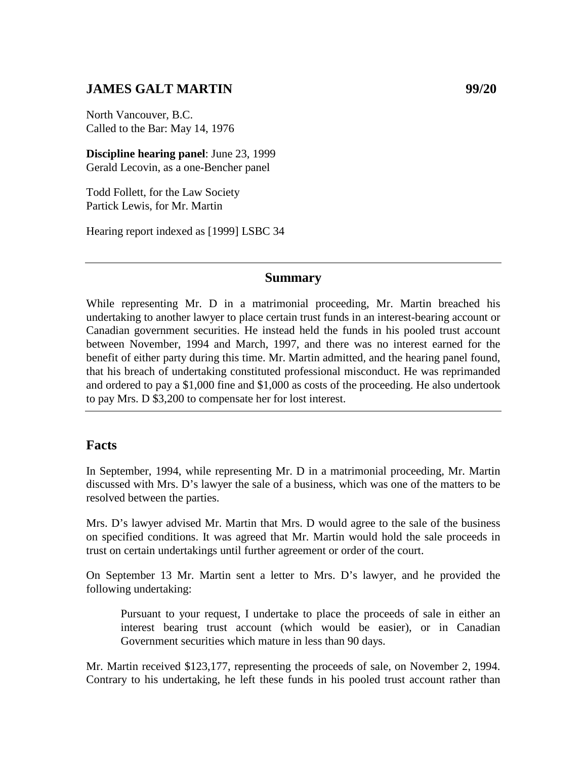# **JAMES GALT MARTIN 99/20**

North Vancouver, B.C. Called to the Bar: May 14, 1976

**Discipline hearing panel**: June 23, 1999 Gerald Lecovin, as a one-Bencher panel

Todd Follett, for the Law Society Partick Lewis, for Mr. Martin

Hearing report indexed as [1999] LSBC 34

#### **Summary**

While representing Mr. D in a matrimonial proceeding, Mr. Martin breached his undertaking to another lawyer to place certain trust funds in an interest-bearing account or Canadian government securities. He instead held the funds in his pooled trust account between November, 1994 and March, 1997, and there was no interest earned for the benefit of either party during this time. Mr. Martin admitted, and the hearing panel found, that his breach of undertaking constituted professional misconduct. He was reprimanded and ordered to pay a \$1,000 fine and \$1,000 as costs of the proceeding. He also undertook to pay Mrs. D \$3,200 to compensate her for lost interest.

### **Facts**

In September, 1994, while representing Mr. D in a matrimonial proceeding, Mr. Martin discussed with Mrs. D's lawyer the sale of a business, which was one of the matters to be resolved between the parties.

Mrs. D's lawyer advised Mr. Martin that Mrs. D would agree to the sale of the business on specified conditions. It was agreed that Mr. Martin would hold the sale proceeds in trust on certain undertakings until further agreement or order of the court.

On September 13 Mr. Martin sent a letter to Mrs. D's lawyer, and he provided the following undertaking:

Pursuant to your request, I undertake to place the proceeds of sale in either an interest bearing trust account (which would be easier), or in Canadian Government securities which mature in less than 90 days.

Mr. Martin received \$123,177, representing the proceeds of sale, on November 2, 1994. Contrary to his undertaking, he left these funds in his pooled trust account rather than